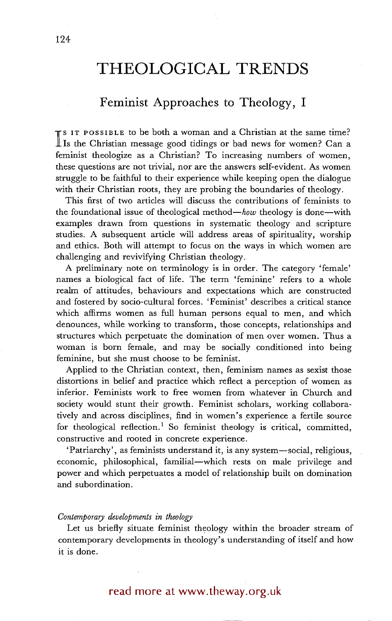# **THEOLOGICAL TRENDS**

### **Feminist Approaches to Theology, I**

**I** 8 IT POSSIBLE to be both a woman and a Christian at the same time? Is the Christian message good tidings or bad news for women? Can a feminist theologize as a Christian? To increasing numbers of women, these questions are not trivial, nor are the answers self-evident. As women struggle to be faithful to their experience while keeping open the dialogue with their Christian roots, they are probing the boundaries of theology.

This first of two articles will discuss the contributions of feminists to the foundational issue of theological *method--how* theology is done--with examples drawn from questions in systematic theology and scripture studies. A subsequent article will address areas of spirituality, worship and ethics. Both will attempt to focus on the ways in which women are challenging and revivifying Christian theology.

A preliminary note on terminology is in order. The category 'female' names a biological fact of life. The term 'feminine' refers to a whole realm of attitudes, behaviours and expectations which are constructed and fostered by socio-cultural forces. 'Feminist' describes a critical stance which affirms women as full human persons equal to men, and which denounces, while working to transform, those concepts, relationships and structures which perpetuate the domination of men over women. Thus a woman is born female, and may be socially conditioned into being feminine, but she must choose to be feminist.

Applied to the Christian context, then, feminism names as sexist those distortions in belief and practice which reflect a perception of women as inferior. Feminists work to free women from whatever in Church and society would stunt their growth. Feminist scholars, working collaboratively and across disciplines, find in women's experience a fertile source for theological reflection.<sup>1</sup> So feminist theology is critical, committed, constructive and rooted in concrete experience.

'Patriarchy', as feminists understand it, is any system-social, religious, economic, philosophical, familial-which rests on male privilege and power and which perpetuates a model of relationship built on domination and subordination.

#### *Contemporary developments in theology*

Let us briefly situate feminist theology within the broader stream of contemporary developments in theology's understanding of itself and how it is done.

## read more at www.theway.org.uk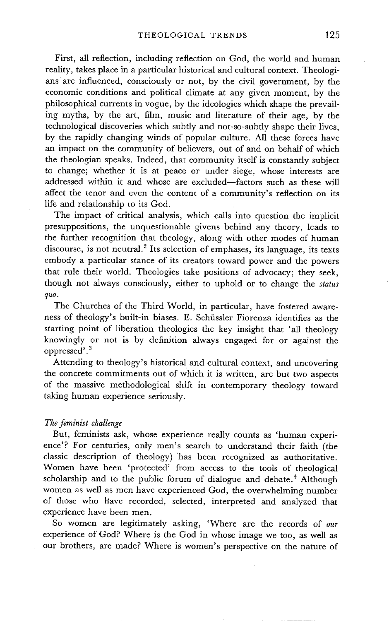First, all reflection, including reflection on God, the world and human reality, takes place in a particular historical and cultural context. Theologians are influenced, consciously or not, by the civil government, by the economic conditions and political climate at any given moment, by the philosophical currents in vogue, by the ideologies which shape the prevailing myths, by the art, film, music and literature of their age, by the technological discoveries which subtly and not-so-subtly shape their lives, by the rapidly changing winds of popular culture. All these forces have an impact on the community of believers, out of and on behalf of which the theologian speaks. Indeed, that community itself is constantly subject to change; whether it is at peace or under siege, whose interests are addressed within it and whose are excluded-factors such as these will affect the tenor and even the content of a community's reflection on its life and relationship to its God.

The impact of critical analysis, which calls into question the implicit presuppositions, the unquestionable givens behind any theory, leads to the further recognition that theology, along with other modes of human discourse, is not neutral.<sup>2</sup> Its selection of emphases, its language, its texts embody a particular stance of its creators toward power and the powers that rule their world. Theologies take positions of advocacy; they seek, though not always consciously, either to uphold or to change the *status quo.* 

The Churches of the Third World, in particular, have fostered awareness of theology's built-in biases. E. Schüssler Fiorenza identifies as the starting point of liberation theologies the key insight that 'all theology knowingly or not is by definition always engaged for or against the oppressed'.3

Attending to theology's historical and cultural context, and uncovering the concrete commitments out of Which it is written, are but two aspects of the massive methodological shift in contemporary theology toward taking human experience seriously.

#### *The ferninist challenge*

But, feminists ask, whose experience really counts as 'human experience'? For centuries, only men's search to understand their faith (the classic description of theology)'has been recognized as authoritative. Women have been 'protected' from access to the tools of theological scholarship and to the public forum of dialogue and debate.<sup>4</sup> Although women as well as men have experienced God, the overwhelming number of those who liave recorded, selected, interpreted and analyzed that experience have been men.

So women are legitimately asking, 'Where are the records of *our*  experience of God? Where is the God in whose image we too, as well as our brothers, are made? Where is women's perspective on the nature of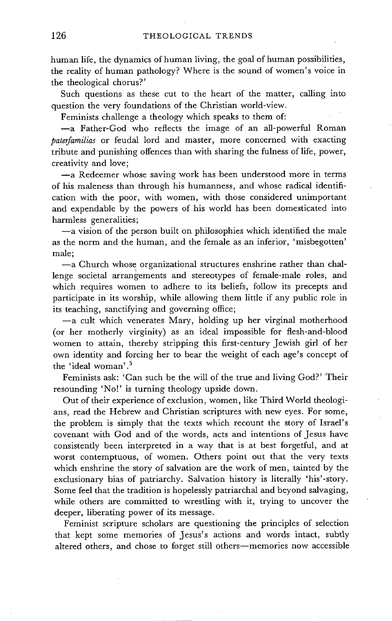human life, the dynamics of human living, the goal of human possibilities, the reality of human pathology? Where is the sound of women's voice in the theological chorus?'

Such questions as these cut to the heart of the matter, calling into question the very foundations of the Christian world-view.

Feminists challenge a theology which speaks to them of:

--a Father-God who reflects the image of an all-powerful Roman *paterfamilias* or feudal lord and master, more concerned with exacting tribute and punishing offences than with sharing the fulness of life, power, creativity and love;

-a Redeemer whose saving work has been understood more in terms of his maleness than through his humanness, and whose radical identification with the poor, with women, with those considered unimportant and expendable by the powers of his world has been domesticated into harmless generalities;

 $-a$  vision of the person built on philosophies which identified the male as the norm and the human, and the female as an inferior, 'misbegotten' male;

 $-a$  Church whose organizational structures enshrine rather than challenge societal arrangements and stereotypes of female-male roles, and which requires women to adhere to its beliefs, follow its precepts and participate in its worship, while allowing them little if any public role in its teaching, sanctifying and governing office;

 $-a$  cult which venerates Mary, holding up her virginal motherhood (or her motherly virginity) as an ideal impossible for flesh-and-blood women to attain, thereby stripping this first-century Jewish girl of her own identity and forcing her to bear the weight of each age's concept of the 'ideal woman'. 5

Feminists ask: 'Can such be the will of the true and living God?' Their resounding 'No!' is turning theology upside down.

Out of their experience of exclusion, women, like Third World theologians, read the Hebrew and Christian scriptures with new eyes. For some, the problem is simply that the texts which recount the story of Israel's covenant with God and of the words, acts and intentions of Jesus have consistently been interpreted in a way that is at best forgetful, and at worst contemptuous, of women. Others point out that the very texts which enshrine the story of salvation are the work of men, tainted by the exclusionary bias of patriarchy. Salvation history is literally 'his'-story. Some feel that the tradition is hopelessly patriarchal and beyond salvaging, while others are committed to wrestling with it, trying to uncover the deeper, liberating power of its message.

Feminist scripture scholars are questioning the principles of selection that kept some memories of Jesus's actions and words intact, subtly altered others, and chose to forget still others-memories now accessible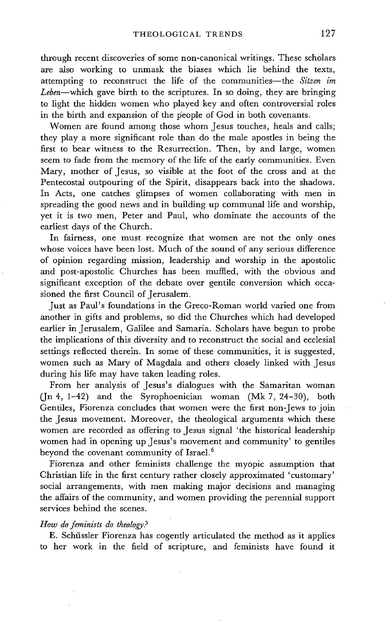through recent discoveries of some non-canonical writings. These scholars are also working to unmask the biases which lie behind the texts, attempting to reconstruct the life of the communities-the *Sitzen im Leben--which* gave birth to the scriptures. In so doing, they are bringing to light the hidden women who played key and often controversial roles in the birth and expansion of the people of God in both covenants.

Women are found among those whom Jesus touches, heals and calls: they play a more significant role than do the male apostles in being the first to bear witness to the Resurrection. Then, by and large, women seem to fade from the memory of the life of the early communities. Even Mary, mother of Jesus, so visible at the foot of the cross and at the Pentecostal outpouring of the Spirit, disappears back into the shadows. In Acts, one catches glimpses of women collaborating with men in spreading the good news and in building up communal life and worship, yet it is two men, Peter and Paul, who dominate the accounts of the earliest days of the Church.

In fairness, one must recognize that women are not the only ones whose voices have been lost. Much of the sound of any serious difference of opinion regarding mission, leadership and worship in the apostolic and post-apostolic Churches has been muffled, with the obvious and significant exception of the debate over gentile conversion which occasioned the first Council of Jerusalem.

Just as Paul's foundations in the Greco-Roman world varied one from another in gifts and problems, so did the Churches which had developed earlier in Jerusalem, Galilee and Samaria. Scholars have begun to probe the implications of this diversity and to reconstruct the social and ecclesial settings reflected therein. In some of these communities, it is suggested, women such as Mary of Magdala and others closely linked with Jesus during his life may have taken leading roles.

From her analysis of Jesus's dialogues with the Samaritan woman (Jn 4, 1-42) and the Syrophoenician woman (Mk 7, 24-30), both Gentiles, Fiorenza concludes that women were the first non-Jews to join the Jesus movement. Moreover, the theological arguments which these women are recorded as offering to Jesus signal 'the historical leadership women had in opening up Jesus's movement and community' to gentiles beyond the covenant community of Israel. 6

Fiorenza and other feminists challenge the myopic assumption that Christian life in the first century rather closely approximated 'customary' social arrangements, with men making major decisions and managing the affairs of the community, and women providing the perennial support services behind the scenes.

#### *How do feminists do theology?*

E. Schüssler Fiorenza has cogently articulated the method as it applies to her work in the field of scripture, and feminists have found it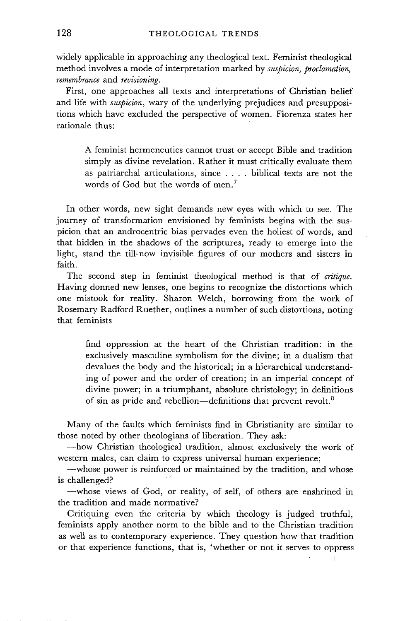Widely applicable in approaching any theological text. Feminist theological method involves a mode of interpretation marked by *suspicion, proclamation, remembrance* and *revisioning.* 

First, one approaches all texts and interpretations of Christian belief and life with *suspicion,* wary of the underlying prejudices and presuppositions which have excluded the perspective of women. Fiorenza states her rationale thus:

A feminist hermeneutics cannot trust or accept Bible and tradition simply as divine revelation. Rather it must critically evaluate them as patriarchal articulations, since .... biblical texts are not the words of God but the words of men.<sup>7</sup>

In other words, new sight demands new eyes with which to see. The journey of transformation envisioned by feminists begins with the suspicion that an androcentric bias pervades even the holiest of words, and that hidden in the shadows of the scriptures, ready to emerge into the light, stand the till-now invisible figures of our mothers and sisters in faith.

The second step in feminist theological method is that of *critique.*  Having donned new lenses, one begins to recognize the distortions which one mistook for reality. Sharon Welch, borrowing from the work of Rosemary Radford Ruether, outlines a number of such distortions, noting that feminists

find oppression at the heart of the Christian tradition: in the exclusively masculine symbolism for the divine; in a dualism that devalues the body and the historical; in a hierarchical understanding of power and the order of creation; in an imperial concept of divine power; in a triumphant, absolute christology; in definitions of sin as pride and rebellion—definitions that prevent revolt. $<sup>8</sup>$ </sup>

Many of the faults which feminists find in Christianity are similar to those noted by other theologians of liberation. They ask:

--how Christian theological tradition, almost exclusively the work of western males, can claim to express universal human experience;

-whose power is reinforced or maintained by the tradition, and whose is challenged?

-whose views of God, or reality, of self, of others are enshrined in the tradition and made normative?

Critiquing even the criteria by which theology is judged truthful, feminists apply another norm to the bible and to the Christian tradition as well as to contemporary experience. They question how that tradition or that experience functions, that is, 'whether or not. it serves to oppress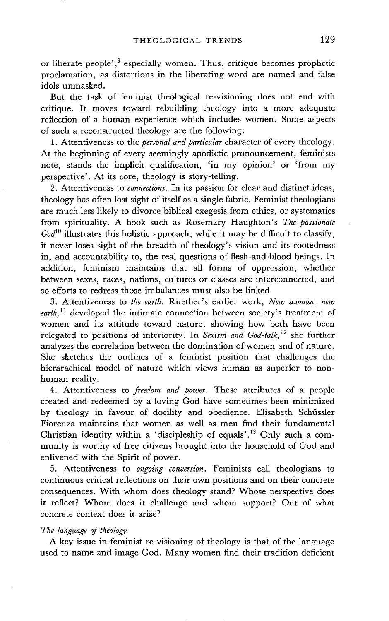or liberate people', $9$  especially women. Thus, critique becomes prophetic proclamation, as distortions in the liberating word are named and false idols unmasked.

But the task of feminist theological re-visioning does not end with critique. It moves toward rebuilding theology into a more adequate reflection of a human experience which includes women. Some aspects of such a reconstructed theology are the following:

1. Attentiveness to the *personal and particular* character of every theology. At the beginning of every seemingly apodictic pronouncement, feminists note, stands the implicit qualification, 'in my opinion' or 'from my perspective'. At its core, theology is story-telling.

2. Attentiveness to *connections.* In its passion for clear and distinct ideas, theology has often lost sight of itself as a single fabric. Feminist theologians are much less likely to divorce biblical exegesis from ethics, or systematics from spirituality. A book such as Rosemary Haughton's *The passionate*  God<sup>10</sup> illustrates this holistic approach; while it may be difficult to classify, it never loses sight of the breadth of theology's vision and its rootedness in, and accountability to, the real questions of flesh-and-blood beings. In addition, feminism maintains that all forms of oppression, whether between sexes, races, nations, cultures or classes are interconnected, and so efforts to redress those imbalances must also be linked.

3. Attentiveness to *the earth.* Ruether's earlier work, *New woman, new earth, 11* developed the intimate connection between society's treatment of women and its attitude toward nature, showing how both have been relegated to positions of inferiority. In *Sexism and God-talk,* 12 she further analyzes the correlation between the domination of women and of nature. She sketches the outlines of a feminist position that challenges the hierarachical model of nature which views human as superior to nonhuman reality.

4. Attentiveness to *freedom and power.* These attributes of a people created and redeemed by a loving God have sometimes been minimized by theology in favour of docility and obedience. Elisabeth Schüssler Fiorenza maintains that women as well as men find their fundamental Christian identity within a 'discipleship of equals'.<sup>13</sup> Only such a community is worthy of free citizens brought into the household of God and enlivened with the Spirit of power.

5. Attentiveness to *ongoing conversion.* Feminists call theologians to continuous critical reflections on their own positions and on their concrete consequences. With whom does theology stand? Whose perspective does it reflect? Whom does it challenge and whom support? Out of what concrete context does it arise?

#### *The language of theology*

A key issue in feminist re-visioning of theology is that of the language used to name and image God. Many women find their tradition deficient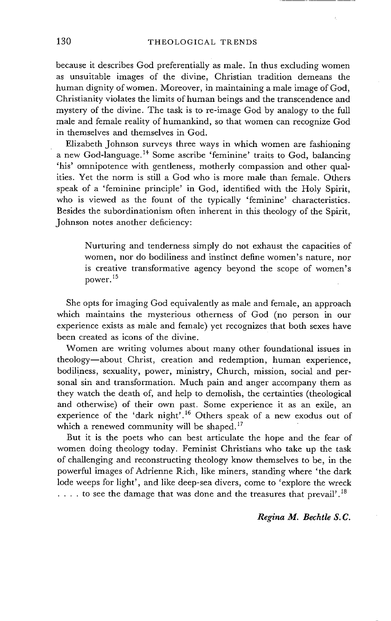because it describes God preferentially as male. In thus excluding women as unsuitable images of the divine, Christian tradition demeans the human dignity of women. Moreover, in maintaining a male image of God, Christianity violates the limits of human beings and the transcendence and mystery of the divine. The task is to re-image God by analogy to the full male and female reality of humankind, so that women can recognize God in themselves and themselves in God.

Elizabeth Johnson surveys three ways in which women are fashioning a new God-language.<sup>14</sup> Some ascribe 'feminine' traits to God, balancing 'his' omnipotence with gentleness, motherly compassion and other qualities. Yet the norm is still a God who is more male than female. Others speak of a 'feminine principle' in God, identified with the Holy Spirit, who is viewed as the fount of the typically 'feminine' characteristics. Besides the subordinationism often inherent in this theology of the Spirit, Johnson notes another deficiency:

Nurturing and tenderness simply do not exhaust the capacities of women, nor do bodiliness and instinct define women's nature, nor is creative transformative agency beyond the scope of women's power.<sup>15</sup>

She opts for imaging God equivalently as male and female, an approach which maintains the mysterious otherness of God (no person in our experience exists as male and female) yet recognizes that both sexes have been created as icons of the divine.

Women are writing volumes about many other foundational issues in theology--about Christ, creation and redemption, human experience, bodiliness, sexuality, power, ministry, Church, mission, social and personal sin and transformation. Much pain and anger accompany them as they watch the death of, and help to demolish, the certainties (theological and otherwise) of their own past. Some experience it as an exile, an experience of the 'dark night'. 16 Others speak of a new exodus out of which a renewed community will be shaped.<sup>17</sup>

But it is the poets who can best articulate the hope and the fear of women doing theology today. Feminist Christians who take up the task of challenging and reconstructing theology know themselves to be, in the powerful images of Adrienne Rich, like miners, standing where 'the dark lode weeps for light', and like deep-sea divers, come to 'explore the wreck  $\ldots$  to see the damage that was done and the treasures that prevail'.<sup>18</sup>

#### *Regina M. Bechtle S.C.*